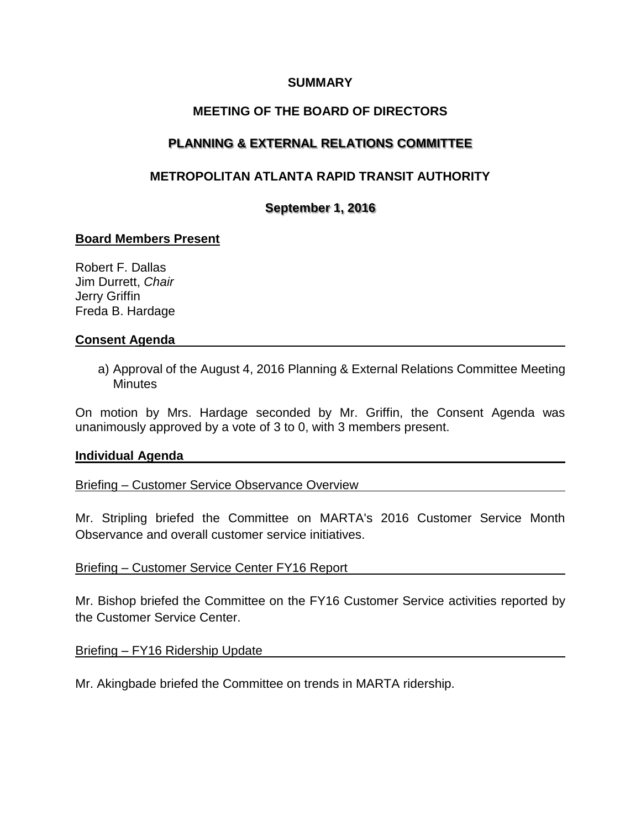## **SUMMARY**

## **MEETING OF THE BOARD OF DIRECTORS**

# **PLANNING & EXTERNAL RELATIONS COMMITTEE**

# **METROPOLITAN ATLANTA RAPID TRANSIT AUTHORITY**

## **September 1, 2016**

## **Board Members Present**

Robert F. Dallas Jim Durrett, *Chair*  Jerry Griffin Freda B. Hardage

### **Consent Agenda**

a) Approval of the August 4, 2016 Planning & External Relations Committee Meeting **Minutes** 

On motion by Mrs. Hardage seconded by Mr. Griffin, the Consent Agenda was unanimously approved by a vote of 3 to 0, with 3 members present.

#### **Individual Agenda**

Briefing – Customer Service Observance Overview

Mr. Stripling briefed the Committee on MARTA's 2016 Customer Service Month Observance and overall customer service initiatives.

## Briefing – Customer Service Center FY16 Report

Mr. Bishop briefed the Committee on the FY16 Customer Service activities reported by the Customer Service Center.

## Briefing – FY16 Ridership Update

Mr. Akingbade briefed the Committee on trends in MARTA ridership.